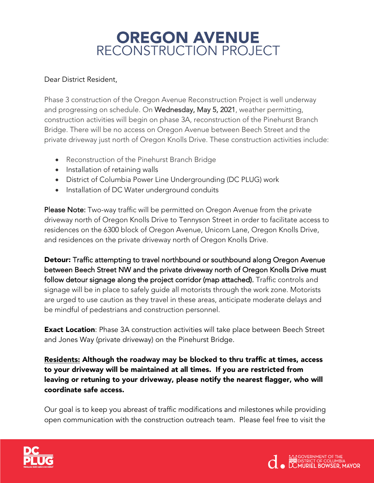## OREGON AVENUE<br>RECONSTRUCTION PROJECT

## Dear District Resident,

Phase 3 construction of the Oregon Avenue Reconstruction Project is well underway and progressing on schedule. On Wednesday, May 5, 2021, weather permitting, construction activities will begin on phase 3A, reconstruction of the Pinehurst Branch Bridge. There will be no access on Oregon Avenue between Beech Street and the private driveway just north of Oregon Knolls Drive. These construction activities include:

- Reconstruction of the Pinehurst Branch Bridge
- Installation of retaining walls
- District of Columbia Power Line Undergrounding (DC PLUG) work
- Installation of DC Water underground conduits

Please Note: Two-way traffic will be permitted on Oregon Avenue from the private driveway north of Oregon Knolls Drive to Tennyson Street in order to facilitate access to residences on the 6300 block of Oregon Avenue, Unicorn Lane, Oregon Knolls Drive, and residences on the private driveway north of Oregon Knolls Drive.

Detour: Traffic attempting to travel northbound or southbound along Oregon Avenue between Beech Street NW and the private driveway north of Oregon Knolls Drive must follow detour signage along the project corridor (map attached). Traffic controls and signage will be in place to safely guide all motorists through the work zone. Motorists are urged to use caution as they travel in these areas, anticipate moderate delays and be mindful of pedestrians and construction personnel.

**Exact Location**: Phase 3A construction activities will take place between Beech Street and Jones Way (private driveway) on the Pinehurst Bridge.

Residents: Although the roadway may be blocked to thru traffic at times, access to your driveway will be maintained at all times. If you are restricted from leaving or retuning to your driveway, please notify the nearest flagger, who will coordinate safe access.

Our goal is to keep you abreast of traffic modifications and milestones while providing open communication with the construction outreach team. Please feel free to visit the